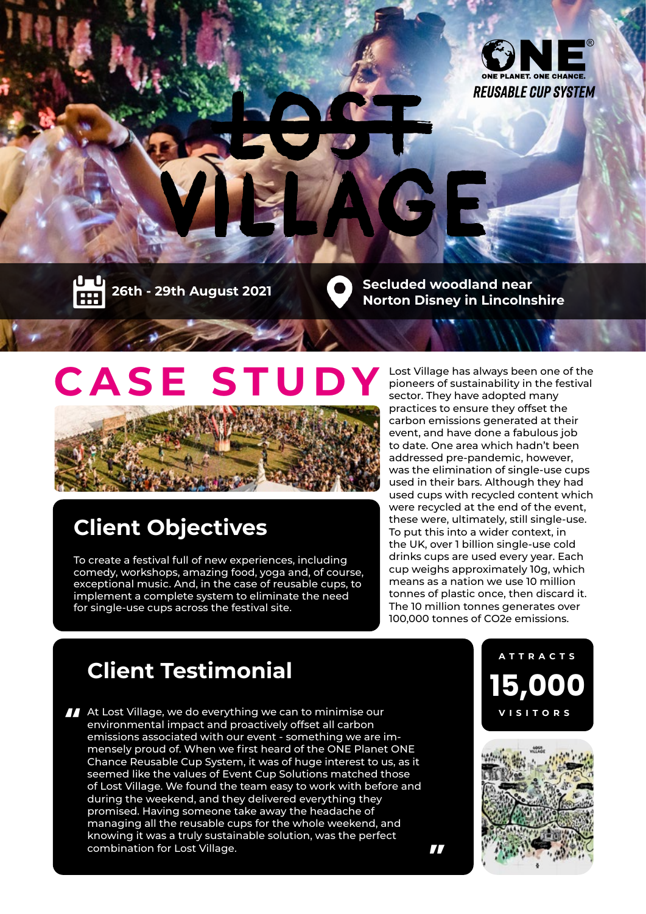

ulu<br>I Fili

**26th - 29th August 2021 Secluded woodland near Norton Disney in Lincolnshire**

# **CASE STUD**



## **Client Objectives**

To create a festival full of new experiences, including comedy, workshops, amazing food, yoga and, of course, exceptional music. And, in the case of reusable cups, to implement a complete system to eliminate the need for single-use cups across the festival site.

Lost Village has always been one of the pioneers of sustainability in the festival sector. They have adopted many practices to ensure they offset the carbon emissions generated at their event, and have done a fabulous job to date. One area which hadn't been addressed pre-pandemic, however, was the elimination of single-use cups used in their bars. Although they had used cups with recycled content which were recycled at the end of the event, these were, ultimately, still single-use. To put this into a wider context, in the UK, over 1 billion single-use cold drinks cups are used every year. Each cup weighs approximately 10g, which means as a nation we use 10 million tonnes of plastic once, then discard it. The 10 million tonnes generates over 100,000 tonnes of CO2e emissions.

## **Client Testimonial**

At Lost Village, we do everything we can to minimise our environmental impact and proactively offset all carbon<br>emissions associated with our event - something we are i environmental impact and proactively offset all carbon emissions associated with our event - something we are immensely proud of. When we first heard of the ONE Planet ONE Chance Reusable Cup System, it was of huge interest to us, as it seemed like the values of Event Cup Solutions matched those of Lost Village. We found the team easy to work with before and during the weekend, and they delivered everything they promised. Having someone take away the headache of managing all the reusable cups for the whole weekend, and knowing it was a truly sustainable solution, was the perfect combination for Lost Village.